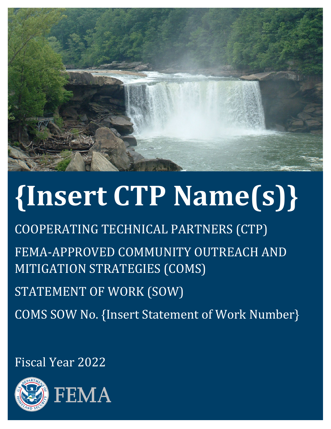

# **{Insert CTP Name(s)}**

COOPERATING TECHNICAL PARTNERS (CTP)

FEMA-APPROVED COMMUNITY OUTREACH AND MITIGATION STRATEGIES (COMS)

STATEMENT OF WORK (SOW)

COMS SOW No. {Insert Statement of Work Number}

Fiscal Year 2022

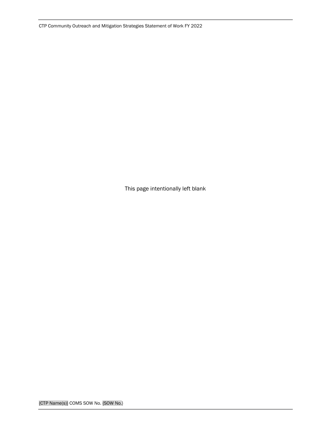This page intentionally left blank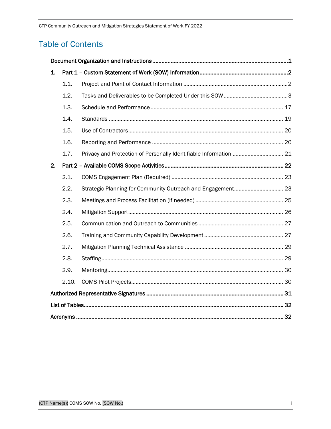# **Table of Contents**

| 1. |       |  |  |  |  |
|----|-------|--|--|--|--|
|    | 1.1.  |  |  |  |  |
|    | 1.2.  |  |  |  |  |
|    | 1.3.  |  |  |  |  |
|    | 1.4.  |  |  |  |  |
|    | 1.5.  |  |  |  |  |
|    | 1.6.  |  |  |  |  |
|    | 1.7.  |  |  |  |  |
| 2. |       |  |  |  |  |
|    | 2.1.  |  |  |  |  |
|    | 2.2.  |  |  |  |  |
|    | 2.3.  |  |  |  |  |
|    | 2.4.  |  |  |  |  |
|    | 2.5.  |  |  |  |  |
|    | 2.6.  |  |  |  |  |
|    | 2.7.  |  |  |  |  |
|    | 2.8.  |  |  |  |  |
|    | 2.9.  |  |  |  |  |
|    | 2.10. |  |  |  |  |
|    |       |  |  |  |  |
|    |       |  |  |  |  |
|    |       |  |  |  |  |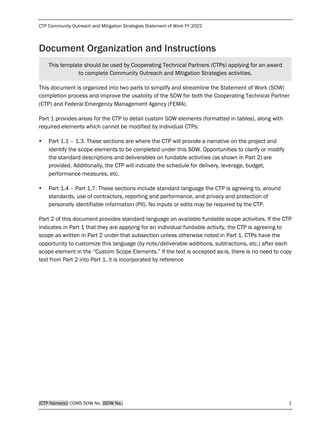# <span id="page-3-0"></span>Document Organization and Instructions

This template should be used by Cooperating Technical Partners (CTPs) applying for an award to complete Community Outreach and Mitigation Strategies activities.

This document is organized into two parts to simplify and streamline the Statement of Work (SOW) completion process and improve the usability of the SOW for both the Cooperating Technical Partner (CTP) and Federal Emergency Management Agency (FEMA).

Part 1 provides areas for the CTP to detail custom SOW elements (formatted in tables), along with required elements which cannot be modified by individual CTPs:

- Part 1.1 1.3. These sections are where the CTP will provide a narrative on the project and identify the scope elements to be completed under this SOW. Opportunities to clarify or modify the standard descriptions and deliverables on fundable activities (as shown in Part 2) are provided. Additionally, the CTP will indicate the schedule for delivery, leverage, budget, performance measures, etc.
- Part 1.4 Part 1.7. These sections include standard language the CTP is agreeing to, around standards, use of contractors, reporting and performance, and privacy and protection of personally identifiable information (PII). No inputs or edits may be required by the CTP.

Part 2 of this document provides standard language on available fundable scope activities. If the CTP indicates in Part 1 that they are applying for an individual fundable activity, the CTP is agreeing to scope as written in Part 2 under that subsection unless otherwise noted in Part 1. CTPs have the opportunity to customize this language (by note/deliverable additions, subtractions, etc.) after each scope element in the "Custom Scope Elements." If the text is accepted as-is, there is no need to copy text from Part 2 into Part 1, it is incorporated by reference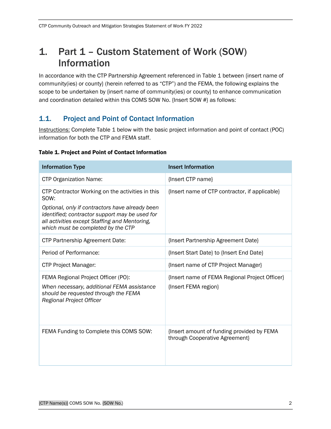# <span id="page-4-0"></span>1. Part 1 – Custom Statement of Work (SOW) Information

In accordance with the CTP Partnership Agreement referenced in [Table 1](#page-4-2) between {insert name of community(ies) or county} (herein referred to as "CTP") and the FEMA, the following explains the scope to be undertaken by {insert name of community(ies) or county} to enhance communication and coordination detailed within this COMS SOW No. {Insert SOW #} as follows:

## <span id="page-4-1"></span>1.1. Project and Point of Contact Information

Instructions: Complete [Table 1](#page-4-2) below with the basic project information and point of contact (POC) information for both the CTP and FEMA staff.

| <b>Information Type</b>                                                                                                                                                                  | <b>Insert Information</b>                                                    |
|------------------------------------------------------------------------------------------------------------------------------------------------------------------------------------------|------------------------------------------------------------------------------|
| <b>CTP Organization Name:</b>                                                                                                                                                            | {Insert CTP name}                                                            |
| CTP Contractor Working on the activities in this<br>SOW:                                                                                                                                 | {Insert name of CTP contractor, if applicable}                               |
| Optional, only if contractors have already been<br>identified; contractor support may be used for<br>all activities except Staffing and Mentoring,<br>which must be completed by the CTP |                                                                              |
| CTP Partnership Agreement Date:                                                                                                                                                          | {Insert Partnership Agreement Date}                                          |
| Period of Performance:                                                                                                                                                                   | {Insert Start Date} to {Insert End Date}                                     |
| <b>CTP Project Manager:</b>                                                                                                                                                              | {Insert name of CTP Project Manager}                                         |
| FEMA Regional Project Officer (PO):<br>When necessary, additional FEMA assistance<br>should be requested through the FEMA<br>Regional Project Officer                                    | {Insert name of FEMA Regional Project Officer}<br>{Insert FEMA region}       |
| FEMA Funding to Complete this COMS SOW:                                                                                                                                                  | {Insert amount of funding provided by FEMA<br>through Cooperative Agreement} |

#### <span id="page-4-2"></span>Table 1. Project and Point of Contact Information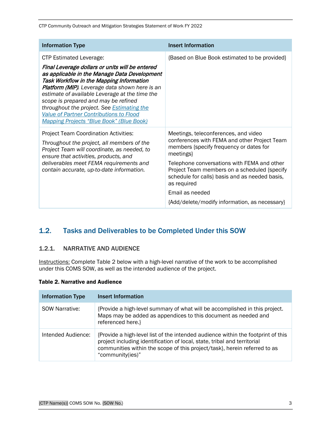| <b>Information Type</b>                                                                                                                                                                                                                                                                                                                                                                                                                                                                    | <b>Insert Information</b>                                                                                                                                                                                                                                                                                                                                                        |
|--------------------------------------------------------------------------------------------------------------------------------------------------------------------------------------------------------------------------------------------------------------------------------------------------------------------------------------------------------------------------------------------------------------------------------------------------------------------------------------------|----------------------------------------------------------------------------------------------------------------------------------------------------------------------------------------------------------------------------------------------------------------------------------------------------------------------------------------------------------------------------------|
| <b>CTP Estimated Leverage:</b><br>Final Leverage dollars or units will be entered<br>as applicable in the Manage Data Development<br>Task Workflow in the Mapping Information<br><b>Platform (MIP).</b> Leverage data shown here is an<br>estimate of available Leverage at the time the<br>scope is prepared and may be refined<br>throughout the project. See <b>Estimating the</b><br><b>Value of Partner Contributions to Flood</b><br><b>Mapping Projects "Blue Book" (Blue Book)</b> | {Based on Blue Book estimated to be provided}                                                                                                                                                                                                                                                                                                                                    |
| <b>Project Team Coordination Activities:</b><br>Throughout the project, all members of the<br>Project Team will coordinate, as needed, to<br>ensure that activities, products, and<br>deliverables meet FEMA requirements and<br>contain accurate, up-to-date information.                                                                                                                                                                                                                 | Meetings, teleconferences, and video<br>conferences with FEMA and other Project Team<br>members {specify frequency or dates for<br>meetings}<br>Telephone conversations with FEMA and other<br>Project Team members on a scheduled {specify<br>schedule for calls} basis and as needed basis,<br>as required<br>Email as needed<br>{Add/delete/modify information, as necessary} |

## <span id="page-5-0"></span>1.2. Tasks and Deliverables to be Completed Under this SOW

#### 1.2.1. NARRATIVE AND AUDIENCE

Instructions: Complete [Table 2](#page-5-1) below with a high-level narrative of the work to be accomplished under this COMS SOW, as well as the intended audience of the project.

<span id="page-5-1"></span>

|  |  |  |  | Table 2. Narrative and Audience |
|--|--|--|--|---------------------------------|
|--|--|--|--|---------------------------------|

| <b>Information Type</b> | <b>Insert Information</b>                                                                                                                                                                                                                                     |
|-------------------------|---------------------------------------------------------------------------------------------------------------------------------------------------------------------------------------------------------------------------------------------------------------|
| <b>SOW Narrative:</b>   | {Provide a high-level summary of what will be accomplished in this project.<br>Maps may be added as appendices to this document as needed and<br>referenced here.}                                                                                            |
| Intended Audience:      | {Provide a high-level list of the intended audience within the footprint of this<br>project including identification of local, state, tribal and territorial<br>communities within the scope of this project/task}, herein referred to as<br>"community(ies)" |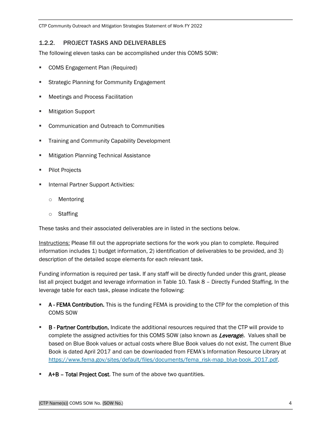#### <span id="page-6-0"></span>1.2.2. PROJECT TASKS AND DELIVERABLES

The following eleven tasks can be accomplished under this COMS SOW:

- COMS Engagement Plan (Required)
- Strategic Planning for Community Engagement
- Meetings and Process Facilitation
- Mitigation Support
- Communication and Outreach to Communities
- Training and Community Capability Development
- **Mitigation Planning Technical Assistance**
- Pilot Projects
- Internal Partner Support Activities:
	- o Mentoring
	- o Staffing

These tasks and their associated deliverables are in listed in the sections below.

Instructions: Please fill out the appropriate sections for the work you plan to complete. Required information includes 1) budget information, 2) identification of deliverables to be provided, and 3) description of the detailed scope elements for each relevant task.

Funding information is required per task. If any staff will be directly funded under this grant, please list all project budget and leverage information in [Table 10. Task 8 – Directly Funded Staffing.](#page-14-0) In the leverage table for each task, please indicate the following:

- **A FEMA Contribution.** This is the funding FEMA is providing to the CTP for the completion of this COMS SOW
- B Partner Contribution. Indicate the additional resources required that the CTP will provide to complete the assigned activities for this COMS SOW (also known as *Leverage*). Values shall be based on Blue Book values or actual costs where Blue Book values do not exist. The current Blue Book is dated April 2017 and can be downloaded from FEMA's Information Resource Library at [https://www.fema.gov/sites/default/files/documents/fema\\_risk-map\\_blue-book\\_2017.pdf.](https://www.fema.gov/sites/default/files/documents/fema_risk-map_blue-book_2017.pdf)
- A+B Total Project Cost. The sum of the above two quantities.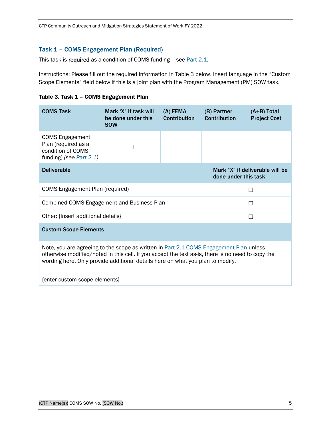#### Task 1 – COMS Engagement Plan (Required)

This task is **required** as a condition of COMS funding - see **Part 2.1**.

Instructions: Please fill out the required information in [Table 3](#page-7-0) below. Insert language in the "Custom Scope Elements" field below if this is a joint plan with the Program Management (PM) SOW task.

<span id="page-7-0"></span>

| Table 3. Task 1 - COMS Engagement Plan |  |  |  |  |  |  |
|----------------------------------------|--|--|--|--|--|--|
|----------------------------------------|--|--|--|--|--|--|

| <b>COMS Task</b>                                                                                                                                                                                                                                                                     | Mark 'X" if task will<br>be done under this<br><b>SOW</b> | $(A)$ FEMA<br><b>Contribution</b> | (B) Partner<br><b>Contribution</b> | $(A+B)$ Total<br><b>Project Cost</b> |  |
|--------------------------------------------------------------------------------------------------------------------------------------------------------------------------------------------------------------------------------------------------------------------------------------|-----------------------------------------------------------|-----------------------------------|------------------------------------|--------------------------------------|--|
| <b>COMS Engagement</b><br>Plan (required as a<br>condition of COMS<br>funding) (see Part 2.1)                                                                                                                                                                                        |                                                           |                                   |                                    |                                      |  |
| <b>Deliverable</b><br>Mark "X" if deliverable will be<br>done under this task                                                                                                                                                                                                        |                                                           |                                   |                                    |                                      |  |
| <b>COMS</b> Engagement Plan (required)                                                                                                                                                                                                                                               |                                                           |                                   |                                    | П                                    |  |
| Combined COMS Engagement and Business Plan                                                                                                                                                                                                                                           |                                                           |                                   |                                    | П                                    |  |
| Other: {Insert additional details}                                                                                                                                                                                                                                                   |                                                           |                                   |                                    |                                      |  |
| <b>Custom Scope Elements</b>                                                                                                                                                                                                                                                         |                                                           |                                   |                                    |                                      |  |
| Note, you are agreeing to the scope as written in <b>Part 2.1 COMS Engagement Plan</b> unless<br>otherwise modified/noted in this cell. If you accept the text as-is, there is no need to copy the<br>wording here. Only provide additional details here on what you plan to modify. |                                                           |                                   |                                    |                                      |  |
| {enter custom scope elements}                                                                                                                                                                                                                                                        |                                                           |                                   |                                    |                                      |  |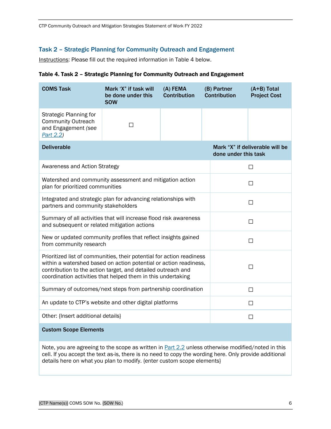## Task 2 – Strategic Planning for Community Outreach and Engagement

Instructions: Please fill out the required information in [Table 4](#page-8-0) below.

<span id="page-8-0"></span>

| <b>COMS Task</b>                                                                                                                                                                                                                                                           | Mark 'X" if task will<br>be done under this<br><b>SOW</b> | (A) FEMA<br><b>Contribution</b> | (B) Partner<br><b>Contribution</b> | $(A+B)$ Total<br><b>Project Cost</b> |  |  |
|----------------------------------------------------------------------------------------------------------------------------------------------------------------------------------------------------------------------------------------------------------------------------|-----------------------------------------------------------|---------------------------------|------------------------------------|--------------------------------------|--|--|
| <b>Strategic Planning for</b><br><b>Community Outreach</b><br>and Engagement (see<br>Part 2.2)                                                                                                                                                                             | П                                                         |                                 |                                    |                                      |  |  |
| <b>Deliverable</b>                                                                                                                                                                                                                                                         |                                                           |                                 | done under this task               | Mark "X" if deliverable will be      |  |  |
| Awareness and Action Strategy                                                                                                                                                                                                                                              |                                                           |                                 |                                    | П                                    |  |  |
| Watershed and community assessment and mitigation action<br>plan for prioritized communities                                                                                                                                                                               |                                                           |                                 |                                    | П                                    |  |  |
| Integrated and strategic plan for advancing relationships with<br>partners and community stakeholders                                                                                                                                                                      |                                                           | $\Box$                          |                                    |                                      |  |  |
| Summary of all activities that will increase flood risk awareness<br>and subsequent or related mitigation actions                                                                                                                                                          |                                                           |                                 |                                    | П                                    |  |  |
| New or updated community profiles that reflect insights gained<br>from community research                                                                                                                                                                                  | П                                                         |                                 |                                    |                                      |  |  |
| Prioritized list of communities, their potential for action readiness<br>within a watershed based on action potential or action readiness,<br>contribution to the action target, and detailed outreach and<br>coordination activities that helped them in this undertaking |                                                           | П                               |                                    |                                      |  |  |
| Summary of outcomes/next steps from partnership coordination                                                                                                                                                                                                               |                                                           | П                               |                                    |                                      |  |  |
| An update to CTP's website and other digital platforms                                                                                                                                                                                                                     |                                                           | П                               |                                    |                                      |  |  |
| Other: {Insert additional details}<br>$\Box$                                                                                                                                                                                                                               |                                                           |                                 |                                    |                                      |  |  |
| <b>Custom Scope Elements</b>                                                                                                                                                                                                                                               |                                                           |                                 |                                    |                                      |  |  |

Note, you are agreeing to the scope as written in **Part 2.2** unless otherwise modified/noted in this cell. If you accept the text as-is, there is no need to copy the wording here. Only provide additional details here on what you plan to modify. {enter custom scope elements}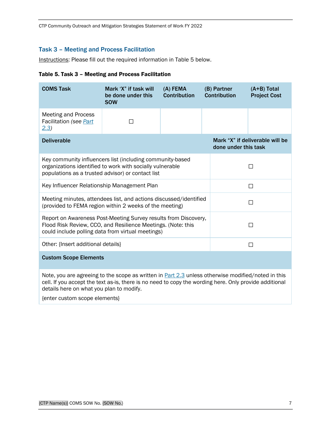## Task 3 – Meeting and Process Facilitation

Instructions: Please fill out the required information in [Table 5](#page-9-0) below.

<span id="page-9-0"></span>Table 5. Task 3 – Meeting and Process Facilitation

| <b>COMS Task</b>                                                                                                                                                                                                                                                                                 | Mark 'X" if task will<br>be done under this<br><b>SOW</b> | $(A)$ FEMA<br><b>Contribution</b> | (B) Partner<br><b>Contribution</b> | $(A+B)$ Total<br><b>Project Cost</b> |  |
|--------------------------------------------------------------------------------------------------------------------------------------------------------------------------------------------------------------------------------------------------------------------------------------------------|-----------------------------------------------------------|-----------------------------------|------------------------------------|--------------------------------------|--|
| <b>Meeting and Process</b><br>Facilitation (see Part<br>2.3)                                                                                                                                                                                                                                     | П                                                         |                                   |                                    |                                      |  |
| <b>Deliverable</b>                                                                                                                                                                                                                                                                               | done under this task                                      | Mark "X" if deliverable will be   |                                    |                                      |  |
| Key community influencers list (including community-based<br>organizations identified to work with socially vulnerable<br>П<br>populations as a trusted advisor) or contact list                                                                                                                 |                                                           |                                   |                                    |                                      |  |
| Key Influencer Relationship Management Plan<br>П                                                                                                                                                                                                                                                 |                                                           |                                   |                                    |                                      |  |
| Meeting minutes, attendees list, and actions discussed/identified<br>П<br>(provided to FEMA region within 2 weeks of the meeting)                                                                                                                                                                |                                                           |                                   |                                    |                                      |  |
| Report on Awareness Post-Meeting Survey results from Discovery,<br>Flood Risk Review, CCO, and Resilience Meetings. (Note: this<br>П<br>could include polling data from virtual meetings)                                                                                                        |                                                           |                                   |                                    |                                      |  |
| Other: {Insert additional details}<br>П                                                                                                                                                                                                                                                          |                                                           |                                   |                                    |                                      |  |
| <b>Custom Scope Elements</b>                                                                                                                                                                                                                                                                     |                                                           |                                   |                                    |                                      |  |
| Note, you are agreeing to the scope as written in <b>Part 2.3</b> unless otherwise modified/noted in this<br>cell. If you accept the text as-is, there is no need to copy the wording here. Only provide additional<br>details here on what you plan to modify.<br>{enter custom scope elements} |                                                           |                                   |                                    |                                      |  |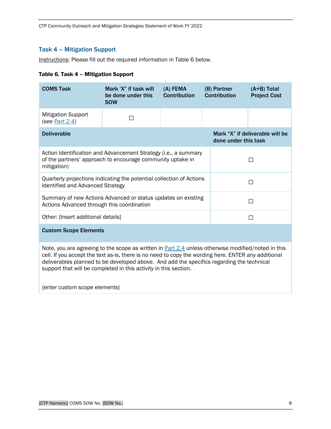## Task 4 – Mitigation Support

Instructions: Please fill out the required information in [Table 6](#page-10-0) below.

#### <span id="page-10-0"></span>Table 6. Task 4 – Mitigation Support

| <b>COMS Task</b>                                                                                                                                                                                                                                                                                                                                                                  | Mark 'X" if task will<br>be done under this<br><b>SOW</b>                                                        | $(A)$ FEMA<br><b>Contribution</b> | (B) Partner<br><b>Contribution</b> | $(A+B)$ Total<br><b>Project Cost</b> |  |  |
|-----------------------------------------------------------------------------------------------------------------------------------------------------------------------------------------------------------------------------------------------------------------------------------------------------------------------------------------------------------------------------------|------------------------------------------------------------------------------------------------------------------|-----------------------------------|------------------------------------|--------------------------------------|--|--|
| <b>Mitigation Support</b><br>(see Part $2.4$ )                                                                                                                                                                                                                                                                                                                                    | П                                                                                                                |                                   |                                    |                                      |  |  |
| <b>Deliverable</b><br>Mark "X" if deliverable will be<br>done under this task                                                                                                                                                                                                                                                                                                     |                                                                                                                  |                                   |                                    |                                      |  |  |
| Action Identification and Advancement Strategy (i.e., a summary<br>of the partners' approach to encourage community uptake in<br>mitigation)                                                                                                                                                                                                                                      |                                                                                                                  |                                   |                                    |                                      |  |  |
| Quarterly projections indicating the potential collection of Actions<br>П<br>Identified and Advanced Strategy                                                                                                                                                                                                                                                                     |                                                                                                                  |                                   |                                    |                                      |  |  |
|                                                                                                                                                                                                                                                                                                                                                                                   | Summary of new Actions Advanced or status updates on existing<br>П<br>Actions Advanced through this coordination |                                   |                                    |                                      |  |  |
|                                                                                                                                                                                                                                                                                                                                                                                   | Other: {Insert additional details}<br>П                                                                          |                                   |                                    |                                      |  |  |
| <b>Custom Scope Elements</b>                                                                                                                                                                                                                                                                                                                                                      |                                                                                                                  |                                   |                                    |                                      |  |  |
| Note, you are agreeing to the scope as written in <b>Part 2.4</b> unless otherwise modified/noted in this<br>cell. If you accept the text as-is, there is no need to copy the wording here. ENTER any additional<br>deliverables planned to be developed above. And add the specifics regarding the technical<br>support that will be completed in this activity in this section. |                                                                                                                  |                                   |                                    |                                      |  |  |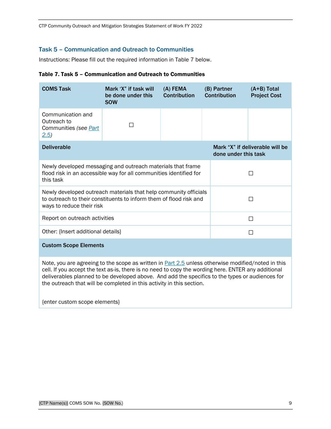### Task 5 – Communication and Outreach to Communities

Instructions: Please fill out the required information in [Table 7](#page-11-0) below.

#### <span id="page-11-0"></span>Table 7. Task 5 – Communication and Outreach to Communities

| <b>COMS Task</b>                                                                                                                                                    | Mark 'X" if task will<br>be done under this<br><b>SOW</b> | $(A)$ FEMA<br><b>Contribution</b> | (B) Partner<br><b>Contribution</b> | $(A+B)$ Total<br><b>Project Cost</b> |  |
|---------------------------------------------------------------------------------------------------------------------------------------------------------------------|-----------------------------------------------------------|-----------------------------------|------------------------------------|--------------------------------------|--|
| Communication and<br>Outreach to<br>Communities (see Part<br><u>2.5</u> )                                                                                           |                                                           |                                   |                                    |                                      |  |
| <b>Deliverable</b><br>Mark "X" if deliverable will be<br>done under this task                                                                                       |                                                           |                                   |                                    |                                      |  |
| Newly developed messaging and outreach materials that frame<br>flood risk in an accessible way for all communities identified for<br>this task                      |                                                           |                                   |                                    |                                      |  |
| Newly developed outreach materials that help community officials<br>to outreach to their constituents to inform them of flood risk and<br>ways to reduce their risk |                                                           | $\mathsf{L}$                      |                                    |                                      |  |
| Report on outreach activities                                                                                                                                       |                                                           | П                                 |                                    |                                      |  |
| Other: {Insert additional details}                                                                                                                                  |                                                           |                                   |                                    |                                      |  |
|                                                                                                                                                                     |                                                           |                                   |                                    |                                      |  |

#### Custom Scope Elements

Note, you are agreeing to the scope as written in **Part 2.5** unless otherwise modified/noted in this cell. If you accept the text as-is, there is no need to copy the wording here. ENTER any additional deliverables planned to be developed above. And add the specifics to the types or audiences for the outreach that will be completed in this activity in this section.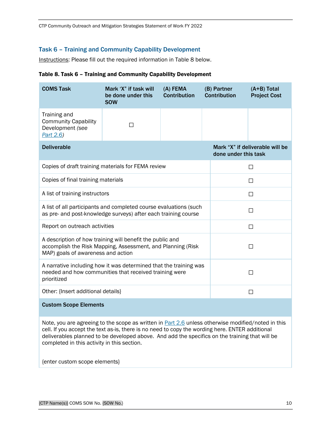## Task 6 – Training and Community Capability Development

Instructions: Please fill out the required information in [Table 8](#page-12-0) below.

#### <span id="page-12-0"></span>Table 8. Task 6 – Training and Community Capability Development

| <b>COMS Task</b>                                                                                                                                               | Mark 'X" if task will<br>be done under this<br><b>SOW</b> | $(A)$ FEMA<br><b>Contribution</b> | (B) Partner<br><b>Contribution</b> | $(A+B)$ Total<br><b>Project Cost</b> |  |
|----------------------------------------------------------------------------------------------------------------------------------------------------------------|-----------------------------------------------------------|-----------------------------------|------------------------------------|--------------------------------------|--|
| Training and<br><b>Community Capability</b><br>Development (see<br>Part 2.6)                                                                                   | Π                                                         |                                   |                                    |                                      |  |
| <b>Deliverable</b>                                                                                                                                             |                                                           |                                   | done under this task               | Mark "X" if deliverable will be      |  |
| Copies of draft training materials for FEMA review                                                                                                             |                                                           | $\Box$                            |                                    |                                      |  |
| Copies of final training materials                                                                                                                             |                                                           | П                                 |                                    |                                      |  |
| A list of training instructors                                                                                                                                 |                                                           | $\Box$                            |                                    |                                      |  |
| A list of all participants and completed course evaluations (such<br>as pre- and post-knowledge surveys) after each training course                            |                                                           | П                                 |                                    |                                      |  |
| Report on outreach activities                                                                                                                                  |                                                           | П                                 |                                    |                                      |  |
| A description of how training will benefit the public and<br>accomplish the Risk Mapping, Assessment, and Planning (Risk<br>MAP) goals of awareness and action |                                                           | П                                 |                                    |                                      |  |
| A narrative including how it was determined that the training was<br>needed and how communities that received training were<br>prioritized                     |                                                           |                                   |                                    | П                                    |  |
| Other: {Insert additional details}                                                                                                                             |                                                           | П                                 |                                    |                                      |  |
| <b>Custom Scope Elements</b>                                                                                                                                   |                                                           |                                   |                                    |                                      |  |

Note, you are agreeing to the scope as written in **Part 2.6** unless otherwise modified/noted in this cell. If you accept the text as-is, there is no need to copy the wording here. ENTER additional deliverables planned to be developed above. And add the specifics on the training that will be completed in this activity in this section.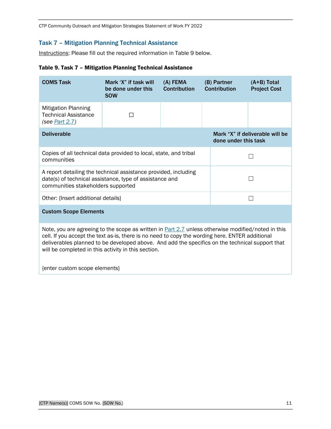## Task 7 – Mitigation Planning Technical Assistance

Instructions: Please fill out the required information in [Table 9](#page-13-0) below.

#### <span id="page-13-0"></span>Table 9. Task 7 – Mitigation Planning Technical Assistance

| <b>COMS Task</b>                                                                                                                                                                                                                                                                                                                                                       | Mark 'X" if task will<br>be done under this<br><b>SOW</b> | $(A)$ FEMA<br><b>Contribution</b> | (B) Partner<br><b>Contribution</b> | $(A+B)$ Total<br><b>Project Cost</b> |
|------------------------------------------------------------------------------------------------------------------------------------------------------------------------------------------------------------------------------------------------------------------------------------------------------------------------------------------------------------------------|-----------------------------------------------------------|-----------------------------------|------------------------------------|--------------------------------------|
| <b>Mitigation Planning</b><br><b>Technical Assistance</b><br>(see <u>Part 2.7</u> )                                                                                                                                                                                                                                                                                    | ┓                                                         |                                   |                                    |                                      |
| <b>Deliverable</b>                                                                                                                                                                                                                                                                                                                                                     |                                                           |                                   | done under this task               | Mark "X" if deliverable will be      |
| Copies of all technical data provided to local, state, and tribal<br>communities                                                                                                                                                                                                                                                                                       |                                                           |                                   |                                    |                                      |
| A report detailing the technical assistance provided, including<br>date(s) of technical assistance, type of assistance and<br>communities stakeholders supported                                                                                                                                                                                                       |                                                           |                                   |                                    |                                      |
| Other: {Insert additional details}                                                                                                                                                                                                                                                                                                                                     |                                                           |                                   |                                    |                                      |
| <b>Custom Scope Elements</b>                                                                                                                                                                                                                                                                                                                                           |                                                           |                                   |                                    |                                      |
| Note, you are agreeing to the scope as written in <b>Part 2.7</b> unless otherwise modified/noted in this<br>cell. If you accept the text as-is, there is no need to copy the wording here. ENTER additional<br>deliverables planned to be developed above. And add the specifics on the technical support that<br>will be completed in this activity in this section. |                                                           |                                   |                                    |                                      |
| {enter custom scope elements}                                                                                                                                                                                                                                                                                                                                          |                                                           |                                   |                                    |                                      |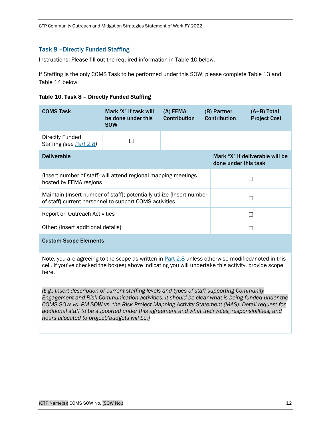### Task 8 –Directly Funded Staffing

Instructions: Please fill out the required information in [Table 10](#page-14-0) below.

If Staffing is the only COMS Task to be performed under this SOW, please complete [Table 13](#page-17-0) and [Table 14](#page-18-0) below.

#### <span id="page-14-0"></span>Table 10. Task 8 – Directly Funded Staffing

| <b>COMS Task</b>                                                                                                               | Mark 'X" if task will<br>be done under this<br><b>SOW</b> | $(A)$ FEMA<br><b>Contribution</b> | (B) Partner<br><b>Contribution</b> | $(A+B)$ Total<br><b>Project Cost</b> |
|--------------------------------------------------------------------------------------------------------------------------------|-----------------------------------------------------------|-----------------------------------|------------------------------------|--------------------------------------|
| Directly Funded<br>Staffing (see Part 2.8)                                                                                     |                                                           |                                   |                                    |                                      |
| <b>Deliverable</b>                                                                                                             | done under this task                                      | Mark "X" if deliverable will be   |                                    |                                      |
| {lnsert number of staff} will attend regional mapping meetings<br>hosted by FEMA regions                                       |                                                           |                                   |                                    |                                      |
| Maintain {lnsert number of staff}; potentially utilize {lnsert number<br>of staff current personnel to support COMS activities |                                                           |                                   |                                    |                                      |
| Report on Outreach Activities                                                                                                  |                                                           | П                                 |                                    |                                      |
| Other: {Insert additional details}                                                                                             |                                                           |                                   |                                    |                                      |
|                                                                                                                                |                                                           |                                   |                                    |                                      |

#### Custom Scope Elements

Note, you are agreeing to the scope as written in [Part 2.8](#page-31-1) unless otherwise modified/noted in this cell. If you've checked the box(es) above indicating you will undertake this activity, provide scope here.

*(E.g., Insert description of current staffing levels and types of staff supporting Community Engagement and Risk Communication activities. It should be clear what is being funded under the COMS SOW vs. PM SOW vs. the Risk Project Mapping Activity Statement (MAS). Detail request for additional staff to be supported under this agreement and what their roles, responsibilities, and hours allocated to project/budgets will be.)*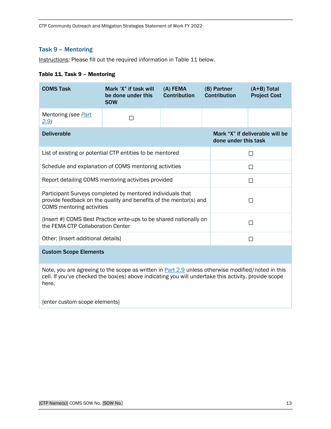#### Task 9 – Mentoring

Instructions: Please fill out the required information in [Table 11](#page-15-0) below.

#### <span id="page-15-0"></span>Table 11. Task 9 – Mentoring

| <b>COMS Task</b>                                                                                                                                                    | Mark 'X" if task will<br>be done under this<br><b>SOW</b> | $(A)$ FEMA<br><b>Contribution</b> | (B) Partner<br><b>Contribution</b> | $(A+B)$ Total<br><b>Project Cost</b> |  |
|---------------------------------------------------------------------------------------------------------------------------------------------------------------------|-----------------------------------------------------------|-----------------------------------|------------------------------------|--------------------------------------|--|
| Mentoring (see Part<br>2.9)                                                                                                                                         | Π                                                         |                                   |                                    |                                      |  |
| <b>Deliverable</b>                                                                                                                                                  |                                                           |                                   | done under this task               | Mark "X" if deliverable will be      |  |
| List of existing or potential CTP entities to be mentored                                                                                                           |                                                           | П                                 |                                    |                                      |  |
| Schedule and explanation of COMS mentoring activities                                                                                                               |                                                           | П                                 |                                    |                                      |  |
| Report detailing COMS mentoring activities provided                                                                                                                 |                                                           | П                                 |                                    |                                      |  |
| Participant Surveys completed by mentored individuals that<br>provide feedback on the quality and benefits of the mentor(s) and<br><b>COMS</b> mentoring activities |                                                           | П                                 |                                    |                                      |  |
| {Insert #} COMS Best Practice write-ups to be shared nationally on<br>the FEMA CTP Collaboration Center                                                             |                                                           | П                                 |                                    |                                      |  |
| Other: {Insert additional details}                                                                                                                                  |                                                           |                                   |                                    | П                                    |  |
| <b>Custom Scope Elements</b>                                                                                                                                        |                                                           |                                   |                                    |                                      |  |
| Note, you are agreeing to the scope as written in <b>Part 2.9</b> unless otherwise modified/noted in this                                                           |                                                           |                                   |                                    |                                      |  |

cell. If you've checked the box(es) above indicating you will undertake this activity, provide scope here.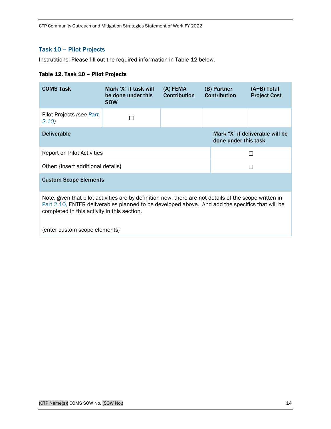## Task 10 – Pilot Projects

Instructions: Please fill out the required information in [Table 12](#page-16-0) below.

#### <span id="page-16-0"></span>Table 12. Task 10 – Pilot Projects

| <b>COMS Task</b>                                                                                                                                                                                                                                         | Mark 'X" if task will<br>be done under this<br><b>SOW</b> | $(A)$ FEMA<br><b>Contribution</b> | (B) Partner<br><b>Contribution</b> | $(A+B)$ Total<br><b>Project Cost</b> |  |
|----------------------------------------------------------------------------------------------------------------------------------------------------------------------------------------------------------------------------------------------------------|-----------------------------------------------------------|-----------------------------------|------------------------------------|--------------------------------------|--|
| Pilot Projects (see Part<br><u> 2.10</u> )                                                                                                                                                                                                               |                                                           |                                   |                                    |                                      |  |
| <b>Deliverable</b>                                                                                                                                                                                                                                       |                                                           |                                   | done under this task               | Mark "X" if deliverable will be      |  |
| Report on Pilot Activities<br>П                                                                                                                                                                                                                          |                                                           |                                   |                                    |                                      |  |
| Other: {Insert additional details}<br>П                                                                                                                                                                                                                  |                                                           |                                   |                                    |                                      |  |
| <b>Custom Scope Elements</b>                                                                                                                                                                                                                             |                                                           |                                   |                                    |                                      |  |
| Note, given that pilot activities are by definition new, there are not details of the scope written in<br>Part 2.10, ENTER deliverables planned to be developed above. And add the specifics that will be<br>completed in this activity in this section. |                                                           |                                   |                                    |                                      |  |
| {enter custom scope elements}                                                                                                                                                                                                                            |                                                           |                                   |                                    |                                      |  |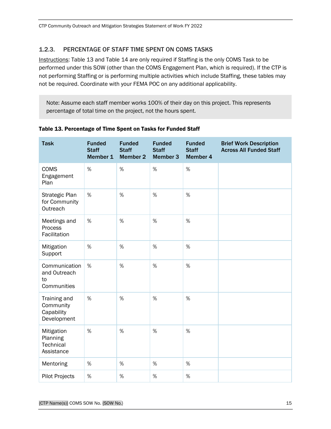## 1.2.3. PERCENTAGE OF STAFF TIME SPENT ON COMS TASKS

Instructions: [Table 13](#page-17-0) and [Table 14](#page-18-0) are only required if Staffing is the only COMS Task to be performed under this SOW (other than the COMS Engagement Plan, which is required). If the CTP is not performing Staffing or is performing multiple activities which include Staffing, these tables may not be required. Coordinate with your FEMA POC on any additional applicability.

Note: Assume each staff member works 100% of their day on this project. This represents percentage of total time on the project, not the hours spent.

| <b>Task</b>                                            | <b>Funded</b><br><b>Staff</b><br>Member 1 | <b>Funded</b><br><b>Staff</b><br>Member 2 | <b>Funded</b><br><b>Staff</b><br>Member 3 | <b>Funded</b><br><b>Staff</b><br>Member 4 | <b>Brief Work Description</b><br><b>Across All Funded Staff</b> |
|--------------------------------------------------------|-------------------------------------------|-------------------------------------------|-------------------------------------------|-------------------------------------------|-----------------------------------------------------------------|
| <b>COMS</b><br>Engagement<br>Plan                      | $\%$                                      | $\%$                                      | $\%$                                      | $\%$                                      |                                                                 |
| Strategic Plan<br>for Community<br>Outreach            | %                                         | %                                         | $\%$                                      | $\%$                                      |                                                                 |
| Meetings and<br>Process<br>Facilitation                | $\%$                                      | %                                         | $\%$                                      | %                                         |                                                                 |
| Mitigation<br>Support                                  | $\%$                                      | %                                         | $\%$                                      | %                                         |                                                                 |
| Communication<br>and Outreach<br>to<br>Communities     | %                                         | %                                         | $\%$                                      | $\%$                                      |                                                                 |
| Training and<br>Community<br>Capability<br>Development | $\%$                                      | %                                         | $\%$                                      | $\%$                                      |                                                                 |
| Mitigation<br>Planning<br>Technical<br>Assistance      | %                                         | %                                         | $\%$                                      | %                                         |                                                                 |
| Mentoring                                              | %                                         | %                                         | $\%$                                      | $\%$                                      |                                                                 |
| <b>Pilot Projects</b>                                  | %                                         | %                                         | %                                         | %                                         |                                                                 |

#### <span id="page-17-0"></span>Table 13. Percentage of Time Spent on Tasks for Funded Staff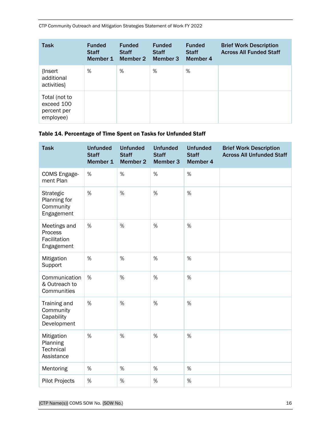| <b>Task</b>                                             | <b>Funded</b><br><b>Staff</b><br>Member 1 | <b>Funded</b><br><b>Staff</b><br>Member 2 | <b>Funded</b><br><b>Staff</b><br>Member 3 | <b>Funded</b><br><b>Staff</b><br>Member 4 | <b>Brief Work Description</b><br><b>Across All Funded Staff</b> |
|---------------------------------------------------------|-------------------------------------------|-------------------------------------------|-------------------------------------------|-------------------------------------------|-----------------------------------------------------------------|
| {Insert<br>additional<br>activities}                    | %                                         | %                                         | %                                         | %                                         |                                                                 |
| Total (not to<br>exceed 100<br>percent per<br>employee) |                                           |                                           |                                           |                                           |                                                                 |

#### <span id="page-18-0"></span>Table 14. Percentage of Time Spent on Tasks for Unfunded Staff

| <b>Task</b>                                            | <b>Unfunded</b><br><b>Staff</b><br>Member 1 | <b>Unfunded</b><br><b>Staff</b><br><b>Member 2</b> | <b>Unfunded</b><br><b>Staff</b><br>Member 3 | <b>Unfunded</b><br><b>Staff</b><br>Member 4 | <b>Brief Work Description</b><br><b>Across All Unfunded Staff</b> |
|--------------------------------------------------------|---------------------------------------------|----------------------------------------------------|---------------------------------------------|---------------------------------------------|-------------------------------------------------------------------|
| COMS Engage-<br>ment Plan                              | %                                           | %                                                  | %                                           | %                                           |                                                                   |
| Strategic<br>Planning for<br>Community<br>Engagement   | $\%$                                        | $\%$                                               | $\%$                                        | %                                           |                                                                   |
| Meetings and<br>Process<br>Facilitation<br>Engagement  | %                                           | %                                                  | %                                           | %                                           |                                                                   |
| Mitigation<br>Support                                  | $\%$                                        | %                                                  | $\%$                                        | %                                           |                                                                   |
| Communication<br>& Outreach to<br>Communities          | %                                           | %                                                  | $\%$                                        | %                                           |                                                                   |
| Training and<br>Community<br>Capability<br>Development | $\%$                                        | $\%$                                               | $\%$                                        | %                                           |                                                                   |
| Mitigation<br>Planning<br>Technical<br>Assistance      | $\%$                                        | $\%$                                               | $\%$                                        | %                                           |                                                                   |
| Mentoring                                              | $\%$                                        | $\%$                                               | $\%$                                        | $\%$                                        |                                                                   |
| <b>Pilot Projects</b>                                  | %                                           | $\%$                                               | $\%$                                        | %                                           |                                                                   |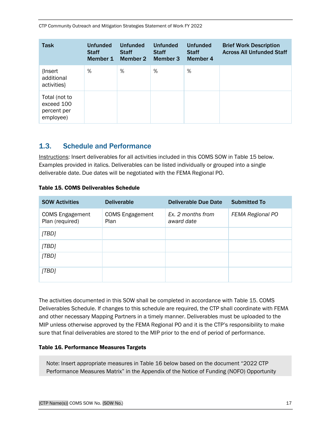| <b>Task</b>                                             | <b>Unfunded</b><br><b>Staff</b><br>Member 1 | <b>Unfunded</b><br><b>Staff</b><br>Member 2 | <b>Unfunded</b><br><b>Staff</b><br>Member 3 | <b>Unfunded</b><br><b>Staff</b><br>Member 4 | <b>Brief Work Description</b><br><b>Across All Unfunded Staff</b> |
|---------------------------------------------------------|---------------------------------------------|---------------------------------------------|---------------------------------------------|---------------------------------------------|-------------------------------------------------------------------|
| {Insert<br>additional<br>activities}                    | %                                           | %                                           | %                                           | %                                           |                                                                   |
| Total (not to<br>exceed 100<br>percent per<br>employee) |                                             |                                             |                                             |                                             |                                                                   |

## <span id="page-19-0"></span>1.3. Schedule and Performance

Instructions: Insert deliverables for all activities included in this COMS SOW in [Table 15](#page-19-1) below. Examples provided in italics. Deliverables can be listed individually or grouped into a single deliverable date. Due dates will be negotiated with the FEMA Regional PO.

| <b>SOW Activities</b>                     | <b>Deliverable</b>             | <b>Deliverable Due Date</b>     | <b>Submitted To</b> |
|-------------------------------------------|--------------------------------|---------------------------------|---------------------|
| <b>COMS Engagement</b><br>Plan (required) | <b>COMS Engagement</b><br>Plan | Ex. 2 months from<br>award date | FEMA Regional PO    |
| [TBD]                                     |                                |                                 |                     |
| [TBD]                                     |                                |                                 |                     |
| [TBD]                                     |                                |                                 |                     |
| [TBD]                                     |                                |                                 |                     |

#### <span id="page-19-1"></span>Table 15. COMS Deliverables Schedule

The activities documented in this SOW shall be completed in accordance with [Table 15.](#page-19-1) COMS Deliverables Schedule. If changes to this schedule are required, the CTP shall coordinate with FEMA and other necessary Mapping Partners in a timely manner. Deliverables must be uploaded to the MIP unless otherwise approved by the FEMA Regional PO and it is the CTP's responsibility to make sure that final deliverables are stored to the MIP prior to the end of period of performance.

#### <span id="page-19-2"></span>Table 16. Performance Measures Targets

Note: Insert appropriate measures in [Table 16](#page-19-2) below based on the document "2022 CTP Performance Measures Matrix" in the Appendix of the Notice of Funding (NOFO) Opportunity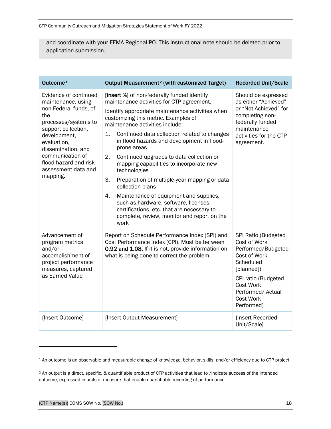and coordinate with your FEMA Regional PO. This instructional note should be deleted prior to application submission.

| Outcome <sup>1</sup>                                                                                                                                                                                                                                            | Output Measurement <sup>2</sup> (with customized Target)                                                                                                                                                                                                                                                                                                                                                                                                                                                                                                                                                                                                                                                                        | <b>Recorded Unit/Scale</b>                                                                                                                                                                                    |
|-----------------------------------------------------------------------------------------------------------------------------------------------------------------------------------------------------------------------------------------------------------------|---------------------------------------------------------------------------------------------------------------------------------------------------------------------------------------------------------------------------------------------------------------------------------------------------------------------------------------------------------------------------------------------------------------------------------------------------------------------------------------------------------------------------------------------------------------------------------------------------------------------------------------------------------------------------------------------------------------------------------|---------------------------------------------------------------------------------------------------------------------------------------------------------------------------------------------------------------|
| Evidence of continued<br>maintenance, using<br>non-Federal funds, of<br>the<br>processes/systems to<br>support collection,<br>development,<br>evaluation,<br>dissemination, and<br>communication of<br>flood hazard and risk<br>assessment data and<br>mapping. | [insert %] of non-federally funded identify<br>maintenance activities for CTP agreement.<br>Identify appropriate maintenance activities when<br>customizing this metric. Examples of<br>maintenance activities include:<br>1.<br>Continued data collection related to changes<br>in flood hazards and development in flood-<br>prone areas<br>2.<br>Continued upgrades to data collection or<br>mapping capabilities to incorporate new<br>technologies<br>3.<br>Preparation of multiple-year mapping or data<br>collection plans<br>Maintenance of equipment and supplies,<br>4.<br>such as hardware, software, licenses,<br>certifications, etc. that are necessary to<br>complete, review, monitor and report on the<br>work | Should be expressed<br>as either "Achieved"<br>or "Not Achieved" for<br>completing non-<br>federally funded<br>maintenance<br>activities for the CTP<br>agreement.                                            |
| Advancement of<br>program metrics<br>and/or<br>accomplishment of<br>project performance<br>measures, captured<br>as Earned Value                                                                                                                                | Report on Schedule Performance Index (SPI) and<br>Cost Performance Index (CPI). Must be between<br>0.92 and 1.08. If it is not, provide information on<br>what is being done to correct the problem.                                                                                                                                                                                                                                                                                                                                                                                                                                                                                                                            | <b>SPI Ratio (Budgeted</b><br>Cost of Work<br>Performed/Budgeted<br>Cost of Work<br>Scheduled<br>[planned])<br>CPI ratio (Budgeted<br><b>Cost Work</b><br>Performed/ Actual<br><b>Cost Work</b><br>Performed) |
| {Insert Outcome}                                                                                                                                                                                                                                                | {Insert Output Measurement}                                                                                                                                                                                                                                                                                                                                                                                                                                                                                                                                                                                                                                                                                                     | {Insert Recorded<br>Unit/Scale}                                                                                                                                                                               |

<span id="page-20-0"></span><sup>1</sup> An outcome is an observable and measurable change of knowledge, behavior, skills, and/or efficiency due to CTP project.

<span id="page-20-1"></span><sup>2</sup> An output is a direct, specific, & quantifiable product of CTP activities that lead to /indicate success of the intended outcome, expressed in units of measure that enable quantifiable recording of performance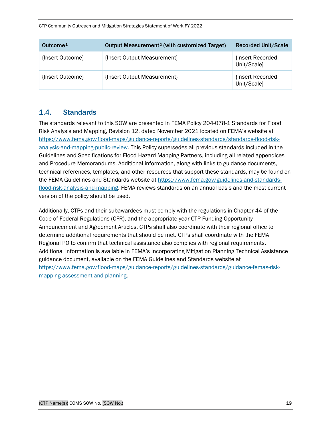| Outcome <sup>1</sup> | Output Measurement <sup>2</sup> (with customized Target) | <b>Recorded Unit/Scale</b>      |
|----------------------|----------------------------------------------------------|---------------------------------|
| {Insert Outcome}     | {Insert Output Measurement}                              | {Insert Recorded<br>Unit/Scale} |
| {Insert Outcome}     | {Insert Output Measurement}                              | {Insert Recorded<br>Unit/Scale} |

## <span id="page-21-0"></span>1.4. Standards

The standards relevant to this SOW are presented in FEMA Policy 204-078-1 Standards for Flood Risk Analysis and Mapping, Revision 12, dated November 2021 located on FEMA's website at [https://www.fema.gov/flood-maps/guidance-reports/guidelines-standards/standards-flood-risk](https://www.fema.gov/flood-maps/guidance-reports/guidelines-standards/standards-flood-risk-analysis-and-mapping-public-review)[analysis-and-mapping-public-review.](https://www.fema.gov/flood-maps/guidance-reports/guidelines-standards/standards-flood-risk-analysis-and-mapping-public-review) This Policy supersedes all previous standards included in the Guidelines and Specifications for Flood Hazard Mapping Partners, including all related appendices and Procedure Memorandums. Additional information, along with links to guidance documents, technical references, templates, and other resources that support these standards, may be found on the FEMA Guidelines and Standards website at [https://www.fema.gov/guidelines-and-standards](https://www.fema.gov/guidelines-and-standards-flood-risk-analysis-and-mapping)[flood-risk-analysis-and-mapping.](https://www.fema.gov/guidelines-and-standards-flood-risk-analysis-and-mapping) FEMA reviews standards on an annual basis and the most current version of the policy should be used.

Additionally, CTPs and their subawardees must comply with the regulations in Chapter 44 of the Code of Federal Regulations (CFR), and the appropriate year CTP Funding Opportunity Announcement and Agreement Articles. CTPs shall also coordinate with their regional office to determine additional requirements that should be met. CTPs shall coordinate with the FEMA Regional PO to confirm that technical assistance also complies with regional requirements. Additional information is available in FEMA's Incorporating Mitigation Planning Technical Assistance guidance document, available on the FEMA Guidelines and Standards website at [https://www.fema.gov/flood-maps/guidance-reports/guidelines-standards/guidance-femas-risk](https://www.fema.gov/flood-maps/guidance-reports/guidelines-standards/guidance-femas-risk-mapping-assessment-and-planning)[mapping-assessment-and-planning.](https://www.fema.gov/flood-maps/guidance-reports/guidelines-standards/guidance-femas-risk-mapping-assessment-and-planning)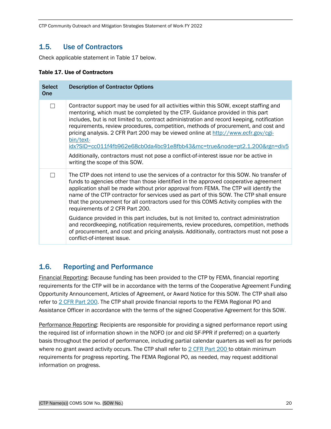## <span id="page-22-0"></span>1.5. Use of Contractors

Check applicable statement in [Table 17](#page-22-2) below.

#### <span id="page-22-2"></span>Table 17. Use of Contractors

| <b>Select</b><br>One | <b>Description of Contractor Options</b>                                                                                                                                                                                                                                                                                                                                                                                                                                                                                                                                                                                                                                                                                                                                                                       |
|----------------------|----------------------------------------------------------------------------------------------------------------------------------------------------------------------------------------------------------------------------------------------------------------------------------------------------------------------------------------------------------------------------------------------------------------------------------------------------------------------------------------------------------------------------------------------------------------------------------------------------------------------------------------------------------------------------------------------------------------------------------------------------------------------------------------------------------------|
|                      | Contractor support may be used for all activities within this SOW, except staffing and<br>mentoring, which must be completed by the CTP. Guidance provided in this part<br>includes, but is not limited to, contract administration and record keeping, notification<br>requirements, review procedures, competition, methods of procurement, and cost and<br>pricing analysis. 2 CFR Part 200 may be viewed online at http://www.ecfr.gov/cgi-<br>bin/text-<br>idx?SID=cc011f4fb962e68cb0da4bc91e8fbb43&mc=true&node=pt2.1.200&rgn=div5<br>Additionally, contractors must not pose a conflict-of-interest issue nor be active in<br>writing the scope of this SOW.                                                                                                                                            |
|                      | The CTP does not intend to use the services of a contractor for this SOW. No transfer of<br>funds to agencies other than those identified in the approved cooperative agreement<br>application shall be made without prior approval from FEMA. The CTP will identify the<br>name of the CTP contractor for services used as part of this SOW. The CTP shall ensure<br>that the procurement for all contractors used for this COMS Activity complies with the<br>requirements of 2 CFR Part 200.<br>Guidance provided in this part includes, but is not limited to, contract administration<br>and recordkeeping, notification requirements, review procedures, competition, methods<br>of procurement, and cost and pricing analysis. Additionally, contractors must not pose a<br>conflict-of-interest issue. |

## <span id="page-22-1"></span>1.6. Reporting and Performance

Financial Reporting: Because funding has been provided to the CTP by FEMA, financial reporting requirements for the CTP will be in accordance with the terms of the Cooperative Agreement Funding Opportunity Announcement, Articles of Agreement, or Award Notice for this SOW. The CTP shall also refer to [2 CFR Part 200.](http://www.ecfr.gov/cgi-bin/text-idx?SID=cc011f4fb962e68cb0da4bc91e8fbb43&mc=true&node=pt2.1.200&rgn=div5) The CTP shall provide financial reports to the FEMA Regional PO and Assistance Officer in accordance with the terms of the signed Cooperative Agreement for this SOW.

Performance Reporting: Recipients are responsible for providing a signed performance report using the required list of information shown in the NOFO (or and old SF-PPR if preferred) on a quarterly basis throughout the period of performance, including partial calendar quarters as well as for periods where no grant award activity occurs. The CTP shall refer to [2 CFR Part 200](http://www.ecfr.gov/cgi-bin/text-idx?SID=cc011f4fb962e68cb0da4bc91e8fbb43&mc=true&node=pt2.1.200&rgn=div5) to obtain minimum requirements for progress reporting. The FEMA Regional PO, as needed, may request additional information on progress.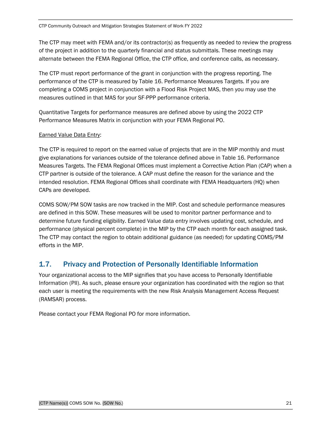The CTP may meet with FEMA and/or its contractor(s) as frequently as needed to review the progress of the project in addition to the quarterly financial and status submittals. These meetings may alternate between the FEMA Regional Office, the CTP office, and conference calls, as necessary.

The CTP must report performance of the grant in conjunction with the progress reporting. The performance of the CTP is measured by [Table 16. Performance Measures Targets.](#page-19-2) If you are completing a COMS project in conjunction with a Flood Risk Project MAS, then you may use the measures outlined in that MAS for your SF-PPP performance criteria.

Quantitative Targets for performance measures are defined above by using the 2022 CTP Performance Measures Matrix in conjunction with your FEMA Regional PO.

#### Earned Value Data Entry:

The CTP is required to report on the earned value of projects that are in the MIP monthly and must give explanations for variances outside of the tolerance defined above in [Table 16. Performance](#page-19-2)  [Measures Targets.](#page-19-2) The FEMA Regional Offices must implement a Corrective Action Plan (CAP) when a CTP partner is outside of the tolerance. A CAP must define the reason for the variance and the intended resolution. FEMA Regional Offices shall coordinate with FEMA Headquarters (HQ) when CAPs are developed.

COMS SOW/PM SOW tasks are now tracked in the MIP. Cost and schedule performance measures are defined in this SOW. These measures will be used to monitor partner performance and to determine future funding eligibility. Earned Value data entry involves updating cost, schedule, and performance (physical percent complete) in the MIP by the CTP each month for each assigned task. The CTP may contact the region to obtain additional guidance (as needed) for updating COMS/PM efforts in the MIP.

## <span id="page-23-0"></span>1.7. Privacy and Protection of Personally Identifiable Information

Your organizational access to the MIP signifies that you have access to Personally Identifiable Information (PII). As such, please ensure your organization has coordinated with the region so that each user is meeting the requirements with the new Risk Analysis Management Access Request (RAMSAR) process.

Please contact your FEMA Regional PO for more information.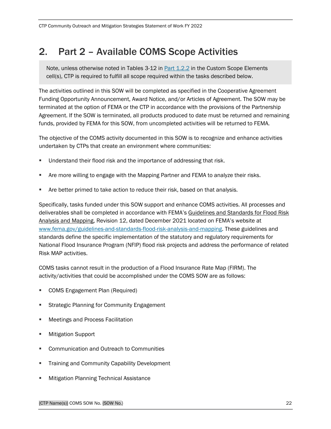# <span id="page-24-0"></span>2. Part 2 – Available COMS Scope Activities

Note, unless otherwise noted in Tables 3-12 in [Part 1.2.2](#page-6-0) in the Custom Scope Elements cell(s), CTP is required to fulfill all scope required within the tasks described below.

The activities outlined in this SOW will be completed as specified in the Cooperative Agreement Funding Opportunity Announcement, Award Notice, and/or Articles of Agreement. The SOW may be terminated at the option of FEMA or the CTP in accordance with the provisions of the Partnership Agreement. If the SOW is terminated, all products produced to date must be returned and remaining funds, provided by FEMA for this SOW, from uncompleted activities will be returned to FEMA.

The objective of the COMS activity documented in this SOW is to recognize and enhance activities undertaken by CTPs that create an environment where communities:

- **Understand their flood risk and the importance of addressing that risk.**
- Are more willing to engage with the Mapping Partner and FEMA to analyze their risks.
- Are better primed to take action to reduce their risk, based on that analysis.

Specifically, tasks funded under this SOW support and enhance COMS activities. All processes and deliverables shall be completed in accordance with FEMA's Guidelines and Standards for Flood Risk Analysis and Mapping, Revision 12, dated December 2021 located on FEMA's website at [www.fema.gov/guidelines-and-standards-flood-risk-analysis-and-mapping.](http://www.fema.gov/guidelines-and-standards-flood-risk-analysis-and-mapping) These guidelines and standards define the specific implementation of the statutory and regulatory requirements for National Flood Insurance Program (NFIP) flood risk projects and address the performance of related Risk MAP activities.

COMS tasks cannot result in the production of a Flood Insurance Rate Map (FIRM). The activity/activities that could be accomplished under the COMS SOW are as follows:

- COMS Engagement Plan (Required)
- Strategic Planning for Community Engagement
- Meetings and Process Facilitation
- Mitigation Support
- Communication and Outreach to Communities
- Training and Community Capability Development
- Mitigation Planning Technical Assistance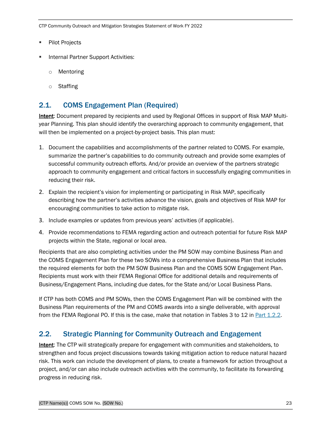- Pilot Projects
- Internal Partner Support Activities:
	- o Mentoring
	- o Staffing

## <span id="page-25-0"></span>2.1. COMS Engagement Plan (Required)

<span id="page-25-2"></span>Intent: Document prepared by recipients and used by Regional Offices in support of Risk MAP Multiyear Planning. This plan should identify the overarching approach to community engagement, that will then be implemented on a project-by-project basis. This plan must:

- 1. Document the capabilities and accomplishments of the partner related to COMS. For example, summarize the partner's capabilities to do community outreach and provide some examples of successful community outreach efforts. And/or provide an overview of the partners strategic approach to community engagement and critical factors in successfully engaging communities in reducing their risk.
- 2. Explain the recipient's vision for implementing or participating in Risk MAP, specifically describing how the partner's activities advance the vision, goals and objectives of Risk MAP for encouraging communities to take action to mitigate risk.
- 3. Include examples or updates from previous years' activities (if applicable).
- 4. Provide recommendations to FEMA regarding action and outreach potential for future Risk MAP projects within the State, regional or local area.

Recipients that are also completing activities under the PM SOW may combine Business Plan and the COMS Engagement Plan for these two SOWs into a comprehensive Business Plan that includes the required elements for both the PM SOW Business Plan and the COMS SOW Engagement Plan. Recipients must work with their FEMA Regional Office for additional details and requirements of Business/Engagement Plans, including due dates, for the State and/or Local Business Plans.

If CTP has both COMS and PM SOWs, then the COMS Engagement Plan will be combined with the Business Plan requirements of the PM and COMS awards into a single deliverable, with approval from the FEMA Regional PO. If this is the case, make that notation in Tables 3 to 12 in [Part 1.2.2.](#page-6-0)

## <span id="page-25-1"></span>2.2. Strategic Planning for Community Outreach and Engagement

Intent: The CTP will strategically prepare for engagement with communities and stakeholders, to strengthen and focus project discussions towards taking mitigation action to reduce natural hazard risk. This work can include the development of plans, to create a framework for action throughout a project, and/or can also include outreach activities with the community, to facilitate its forwarding progress in reducing risk.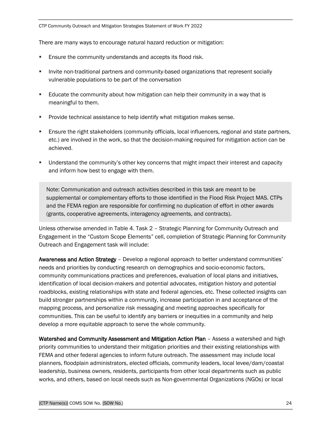There are many ways to encourage natural hazard reduction or mitigation:

- Ensure the community understands and accepts its flood risk.
- Invite non-traditional partners and community-based organizations that represent socially vulnerable populations to be part of the conversation
- Educate the community about how mitigation can help their community in a way that is meaningful to them.
- **Provide technical assistance to help identify what mitigation makes sense.**
- Ensure the right stakeholders (community officials, local influencers, regional and state partners, etc.) are involved in the work, so that the decision-making required for mitigation action can be achieved.
- Understand the community's other key concerns that might impact their interest and capacity and inform how best to engage with them.

Note: Communication and outreach activities described in this task are meant to be supplemental or complementary efforts to those identified in the Flood Risk Project MAS. CTPs and the FEMA region are responsible for confirming no duplication of effort in other awards (grants, cooperative agreements, interagency agreements, and contracts).

Unless otherwise amended in [Table 4. Task 2 – Strategic Planning for Community Outreach and](#page-8-0)  [Engagement](#page-8-0) in the "Custom Scope Elements" cell, completion of Strategic Planning for Community Outreach and Engagement task will include:

Awareness and Action Strategy - Develop a regional approach to better understand communities' needs and priorities by conducting research on demographics and socio-economic factors, community communications practices and preferences, evaluation of local plans and initiatives, identification of local decision-makers and potential advocates, mitigation history and potential roadblocks, existing relationships with state and federal agencies, etc. These collected insights can build stronger partnerships within a community, increase participation in and acceptance of the mapping process, and personalize risk messaging and meeting approaches specifically for communities. This can be useful to identify any barriers or inequities in a community and help develop a more equitable approach to serve the whole community.

Watershed and Community Assessment and Mitigation Action Plan - Assess a watershed and high priority communities to understand their mitigation priorities and their existing relationships with FEMA and other federal agencies to inform future outreach. The assessment may include local planners, floodplain administrators, elected officials, community leaders, local levee/dam/coastal leadership, business owners, residents, participants from other local departments such as public works, and others, based on local needs such as Non-governmental Organizations (NGOs) or local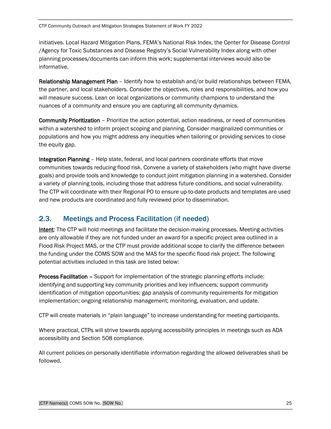initiatives. Local Hazard Mitigation Plans, FEMA's National Risk Index, the Center for Disease Control /Agency for Toxic Substances and Disease Registry's Social Vulnerability Index along with other planning processes/documents can inform this work; supplemental interviews would also be informative.

Relationship Management Plan – Identify how to establish and/or build relationships between FEMA, the partner, and local stakeholders. Consider the objectives, roles and responsibilities, and how you will measure success. Lean on local organizations or community champions to understand the nuances of a community and ensure you are capturing all community dynamics.

Community Prioritization – Prioritize the action potential, action readiness, or need of communities within a watershed to inform project scoping and planning. Consider marginalized communities or populations and how you might address any inequities when tailoring or providing services to close the equity gap.

Integration Planning – Help state, federal, and local partners coordinate efforts that move communities towards reducing flood risk. Convene a variety of stakeholders (who might have diverse goals) and provide tools and knowledge to conduct joint mitigation planning in a watershed. Consider a variety of planning tools, including those that address future conditions, and social vulnerability. The CTP will coordinate with their Regional PO to ensure up-to-date products and templates are used and new products are coordinated and fully reviewed prior to dissemination.

## <span id="page-27-0"></span>2.3. Meetings and Process Facilitation (if needed)

Intent: The CTP will hold meetings and facilitate the decision-making processes. Meeting activities are only allowable if they are not funded under an award for a specific project area outlined in a Flood Risk Project MAS, or the CTP must provide additional scope to clarify the difference between the funding under the COMS SOW and the MAS for the specific flood risk project. The following potential activities included in this task are listed below:

Process Facilitation – Support for implementation of the strategic planning efforts include: identifying and supporting key community priorities and key influencers; support community identification of mitigation opportunities; gap analysis of community requirements for mitigation implementation; ongoing relationship management; monitoring, evaluation, and update.

CTP will create materials in "plain language" to increase understanding for meeting participants.

Where practical, CTPs will strive towards applying accessibility principles in meetings such as ADA accessibility and Section 508 compliance.

All current policies on personally identifiable information regarding the allowed deliverables shall be followed.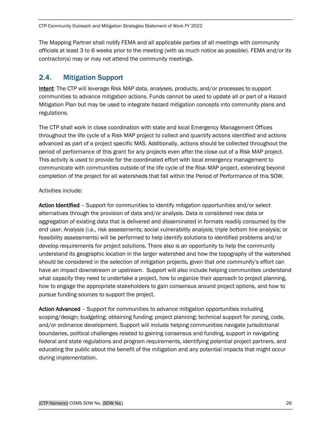The Mapping Partner shall notify FEMA and all applicable parties of all meetings with community officials at least 3 to 6 weeks prior to the meeting (with as much notice as possible). FEMA and/or its contractor(s) may or may not attend the community meetings.

## <span id="page-28-0"></span>2.4. Mitigation Support

Intent: The CTP will leverage Risk MAP data, analyses, products, and/or processes to support communities to advance mitigation actions. Funds cannot be used to update all or part of a Hazard Mitigation Plan but may be used to integrate hazard mitigation concepts into community plans and regulations.

The CTP shall work in close coordination with state and local Emergency Management Offices throughout the life cycle of a Risk MAP project to collect and quantify actions identified and actions advanced as part of a project specific MAS. Additionally, actions should be collected throughout the period of performance of this grant for any projects even after the close out of a Risk MAP project. This activity is used to provide for the coordinated effort with local emergency management to communicate with communities outside of the life cycle of the Risk MAP project, extending beyond completion of the project for all watersheds that fall within the Period of Performance of this SOW.

#### Activities include:

Action Identified - Support for communities to identify mitigation opportunities and/or select alternatives through the provision of data and/or analysis. Data is considered new data or aggregation of existing data that is delivered and disseminated in formats readily consumed by the end user. Analysis (i.e., risk assessments; social vulnerability analysis; triple bottom line analysis; or feasibility assessments) will be performed to help identify solutions to identified problems and/or develop requirements for project solutions. There also is an opportunity to help the community understand its geographic location in the larger watershed and how the topography of the watershed should be considered in the selection of mitigation projects, given that one community's effort can have an impact downstream or upstream. Support will also include helping communities understand what capacity they need to undertake a project, how to organize their approach to project planning, how to engage the appropriate stakeholders to gain consensus around project options, and how to pursue funding sources to support the project.

Action Advanced – Support for communities to advance mitigation opportunities including scoping/design; budgeting; obtaining funding; project planning; technical support for zoning, code, and/or ordinance development. Support will include helping communities navigate jurisdictional boundaries, political challenges related to gaining consensus and funding, support in navigating federal and state regulations and program requirements, identifying potential project partners, and educating the public about the benefit of the mitigation and any potential impacts that might occur during implementation.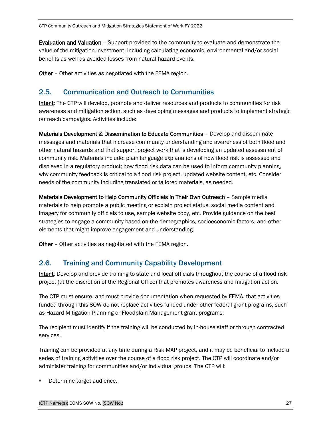Evaluation and Valuation – Support provided to the community to evaluate and demonstrate the value of the mitigation investment, including calculating economic, environmental and/or social benefits as well as avoided losses from natural hazard events.

Other – Other activities as negotiated with the FEMA region.

## <span id="page-29-0"></span>2.5. Communication and Outreach to Communities

Intent: The CTP will develop, promote and deliver resources and products to communities for risk awareness and mitigation action, such as developing messages and products to implement strategic outreach campaigns. Activities include:

Materials Development & Dissemination to Educate Communities – Develop and disseminate messages and materials that increase community understanding and awareness of both flood and other natural hazards and that support project work that is developing an updated assessment of community risk. Materials include: plain language explanations of how flood risk is assessed and displayed in a regulatory product; how flood risk data can be used to inform community planning, why community feedback is critical to a flood risk project, updated website content, etc. Consider needs of the community including translated or tailored materials, as needed.

Materials Development to Help Community Officials in Their Own Outreach – Sample media materials to help promote a public meeting or explain project status, social media content and imagery for community officials to use, sample website copy, etc. Provide guidance on the best strategies to engage a community based on the demographics, socioeconomic factors, and other elements that might improve engagement and understanding.

Other – Other activities as negotiated with the FEMA region.

## <span id="page-29-1"></span>2.6. Training and Community Capability Development

Intent: Develop and provide training to state and local officials throughout the course of a flood risk project (at the discretion of the Regional Office) that promotes awareness and mitigation action.

The CTP must ensure, and must provide documentation when requested by FEMA, that activities funded through this SOW do not replace activities funded under other federal grant programs, such as Hazard Mitigation Planning or Floodplain Management grant programs.

The recipient must identify if the training will be conducted by in-house staff or through contracted services.

Training can be provided at any time during a Risk MAP project, and it may be beneficial to include a series of training activities over the course of a flood risk project. The CTP will coordinate and/or administer training for communities and/or individual groups. The CTP will:

Determine target audience.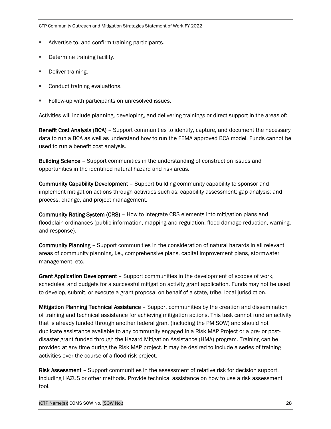- Advertise to, and confirm training participants.
- Determine training facility.
- Deliver training.
- **Conduct training evaluations.**
- Follow-up with participants on unresolved issues.

Activities will include planning, developing, and delivering trainings or direct support in the areas of:

Benefit Cost Analysis (BCA) – Support communities to identify, capture, and document the necessary data to run a BCA as well as understand how to run the FEMA approved BCA model. Funds cannot be used to run a benefit cost analysis.

Building Science – Support communities in the understanding of construction issues and opportunities in the identified natural hazard and risk areas.

Community Capability Development – Support building community capability to sponsor and implement mitigation actions through activities such as: capability assessment; gap analysis; and process, change, and project management.

Community Rating System (CRS) – How to integrate CRS elements into mitigation plans and floodplain ordinances (public information, mapping and regulation, flood damage reduction, warning, and response).

Community Planning – Support communities in the consideration of natural hazards in all relevant areas of community planning, i.e., comprehensive plans, capital improvement plans, stormwater management, etc.

Grant Application Development – Support communities in the development of scopes of work, schedules, and budgets for a successful mitigation activity grant application. Funds may not be used to develop, submit, or execute a grant proposal on behalf of a state, tribe, local jurisdiction.

Mitigation Planning Technical Assistance - Support communities by the creation and dissemination of training and technical assistance for achieving mitigation actions. This task cannot fund an activity that is already funded through another federal grant (including the PM SOW) and should not duplicate assistance available to any community engaged in a Risk MAP Project or a pre- or postdisaster grant funded through the Hazard Mitigation Assistance (HMA) program. Training can be provided at any time during the Risk MAP project. It may be desired to include a series of training activities over the course of a flood risk project.

Risk Assessment – Support communities in the assessment of relative risk for decision support, including HAZUS or other methods. Provide technical assistance on how to use a risk assessment tool.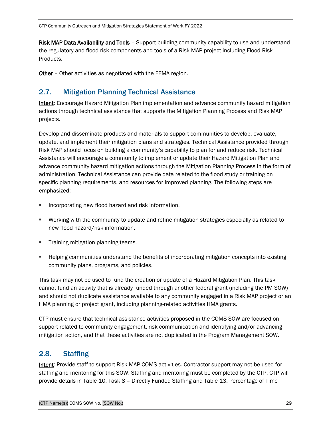Risk MAP Data Availability and Tools – Support building community capability to use and understand the regulatory and flood risk components and tools of a Risk MAP project including Flood Risk Products.

Other – Other activities as negotiated with the FEMA region.

## <span id="page-31-0"></span>2.7. Mitigation Planning Technical Assistance

Intent: Encourage Hazard Mitigation Plan implementation and advance community hazard mitigation actions through technical assistance that supports the Mitigation Planning Process and Risk MAP projects.

Develop and disseminate products and materials to support communities to develop, evaluate, update, and implement their mitigation plans and strategies. Technical Assistance provided through Risk MAP should focus on building a community's capability to plan for and reduce risk. Technical Assistance will encourage a community to implement or update their Hazard Mitigation Plan and advance community hazard mitigation actions through the Mitigation Planning Process in the form of administration. Technical Assistance can provide data related to the flood study or training on specific planning requirements, and resources for improved planning. The following steps are emphasized:

- Incorporating new flood hazard and risk information.
- Working with the community to update and refine mitigation strategies especially as related to new flood hazard/risk information.
- Training mitigation planning teams.
- Helping communities understand the benefits of incorporating mitigation concepts into existing community plans, programs, and policies.

This task may not be used to fund the creation or update of a Hazard Mitigation Plan. This task cannot fund an activity that is already funded through another federal grant (including the PM SOW) and should not duplicate assistance available to any community engaged in a Risk MAP project or an HMA planning or project grant, including planning-related activities HMA grants.

CTP must ensure that technical assistance activities proposed in the COMS SOW are focused on support related to community engagement, risk communication and identifying and/or advancing mitigation action, and that these activities are not duplicated in the Program Management SOW.

## <span id="page-31-1"></span>2.8. Staffing

Intent: Provide staff to support Risk MAP COMS activities. Contractor support may not be used for staffing and mentoring for this SOW. Staffing and mentoring must be completed by the CTP. CTP will provide details in Table 10. [Task 8 – Directly Funded Staffing](#page-14-0) and [Table 13. Percentage of Time](#page-17-0)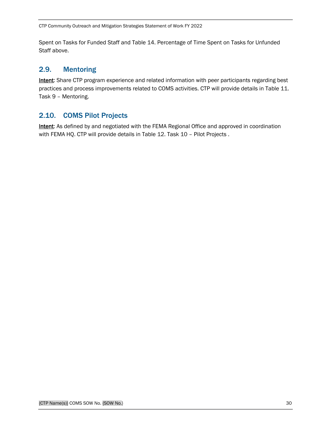[Spent on Tasks for Funded Staff](#page-17-0) and [Table 14. Percentage of Time Spent on Tasks for Unfunded](#page-18-0)  [Staff](#page-18-0) above.

## <span id="page-32-0"></span>2.9. Mentoring

Intent: Share CTP program experience and related information with peer participants regarding best practices and process improvements related to COMS activities. CTP will provide details in [Table 11.](#page-15-0)  [Task 9 – Mentoring.](#page-15-0)

## <span id="page-32-1"></span>2.10. COMS Pilot Projects

Intent: As defined by and negotiated with the FEMA Regional Office and approved in coordination with FEMA HQ. CTP will provide details in [Table 12. Task 10 – Pilot](#page-16-0) Projects .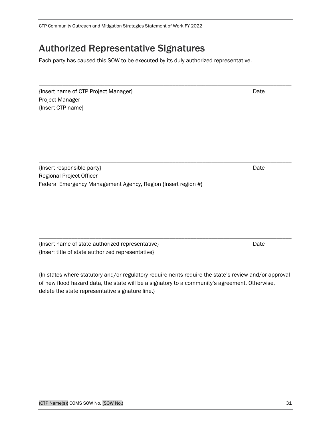# <span id="page-33-0"></span>Authorized Representative Signatures

Each party has caused this SOW to be executed by its duly authorized representative.

\_\_\_\_\_\_\_\_\_\_\_\_\_\_\_\_\_\_\_\_\_\_\_\_\_\_\_\_\_\_\_\_\_\_\_\_\_\_\_\_\_\_\_\_\_\_\_\_\_\_\_\_\_\_\_\_\_\_\_\_\_\_\_\_\_\_\_\_\_\_\_\_\_\_\_\_\_\_\_\_\_\_\_\_\_

{Insert name of CTP Project Manager} discussed and the control of the Date Project Manager {Insert CTP name}

Regional Project Officer

{Insert responsible party} Date and the set of the set of the set of the set of the set of the set of the set of the set of the set of the set of the set of the set of the set of the set of the set of the set of the set of

Federal Emergency Management Agency, Region {Insert region #}

{Insert name of state authorized representative} Date {Insert title of state authorized representative}

{In states where statutory and/or regulatory requirements require the state's review and/or approval of new flood hazard data, the state will be a signatory to a community's agreement. Otherwise, delete the state representative signature line.}

\_\_\_\_\_\_\_\_\_\_\_\_\_\_\_\_\_\_\_\_\_\_\_\_\_\_\_\_\_\_\_\_\_\_\_\_\_\_\_\_\_\_\_\_\_\_\_\_\_\_\_\_\_\_\_\_\_\_\_\_\_\_\_\_\_\_\_\_\_\_\_\_\_\_\_\_\_\_\_\_\_\_\_\_\_

\_\_\_\_\_\_\_\_\_\_\_\_\_\_\_\_\_\_\_\_\_\_\_\_\_\_\_\_\_\_\_\_\_\_\_\_\_\_\_\_\_\_\_\_\_\_\_\_\_\_\_\_\_\_\_\_\_\_\_\_\_\_\_\_\_\_\_\_\_\_\_\_\_\_\_\_\_\_\_\_\_\_\_\_\_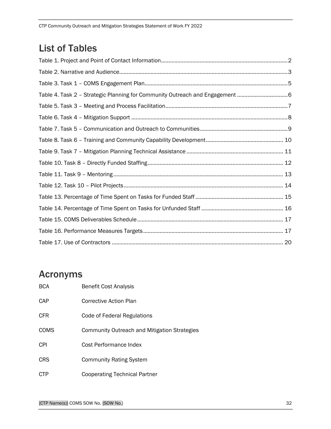# <span id="page-34-0"></span>List of Tables

| Table 4. Task 2 - Strategic Planning for Community Outreach and Engagement |  |
|----------------------------------------------------------------------------|--|
|                                                                            |  |
|                                                                            |  |
|                                                                            |  |
|                                                                            |  |
|                                                                            |  |
|                                                                            |  |
|                                                                            |  |
|                                                                            |  |
|                                                                            |  |
|                                                                            |  |
|                                                                            |  |
|                                                                            |  |
|                                                                            |  |

# <span id="page-34-1"></span>Acronyms

| <b>BCA</b> | Benefit Cost Analysis                               |
|------------|-----------------------------------------------------|
| CAP        | Corrective Action Plan                              |
| CFR        | Code of Federal Regulations                         |
| COMS       | <b>Community Outreach and Mitigation Strategies</b> |
| CPI        | Cost Performance Index                              |
| CRS        | <b>Community Rating System</b>                      |
| CTP        | <b>Cooperating Technical Partner</b>                |